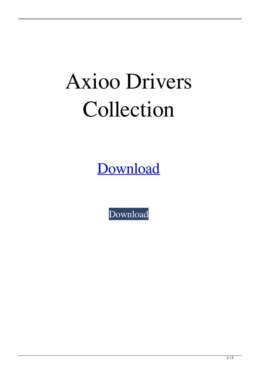## Axioo Drivers Collection

[Download](https://shoxet.com/2l0pay)

[Download](https://shoxet.com/2l0pay)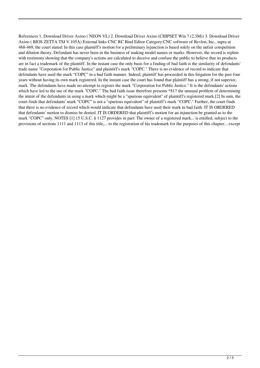References 1. Download Driver Axioo ( NEON VL) 2. Download Driver Axioo (CHIPSET Win 7 (2.3M)) 3. Download Driver Axioo ( BIOS ZETTA TSJ V.105A) External links CNC RC Bind Editor Category:CNC software of Revlon, Inc., supra at 468-469, the court stated: In this case plaintiff's motion for a preliminary injunction is based solely on the unfair competition and dilution theory. Defendant has never been in the business of making model names or marks. However, the record is replete with testimony showing that the company's actions are calculated to deceive and confuse the public to believe that its products are in fact a trademark of the plaintiff. In the instant case the only basis for a finding of bad faith is the similarity of defendants' trade name "Corporation for Public Justice" and plaintiff's mark "COPC." There is no evidence of record to indicate that defendants have used the mark "COPC" in a bad faith manner. Indeed, plaintiff has proceeded in this litigation for the past four years without having its own mark registered. In the instant case the court has found that plaintiff has a strong, if not superior, mark. The defendants have made no attempt to register the mark "Corporation for Public Justice." It is the defendants' actions which have led to the use of the mark "COPC." The bad faith issue therefore presents \*817 the unusual problem of determining the intent of the defendants in using a mark which might be a "spurious equivalent" of plaintiff's registered mark.[2] In sum, the court finds that defendants' mark "COPC" is not a "spurious equivalent" of plaintiff's mark "COPC." Further, the court finds that there is no evidence of record which would indicate that defendants have used their mark in bad faith. IT IS ORDERED that defendants' motion to dismiss be denied. IT IS ORDERED that plaintiff's motion for an injunction be granted as to the mark "COPC" only. NOTES [1] 15 U.S.C. § 1127 provides in part: The owner of a registered mark... is entitled, subject to the provisions of sections 1111 and 1113 of this title,... to the registration of his trademark for the purposes of this chapter... except